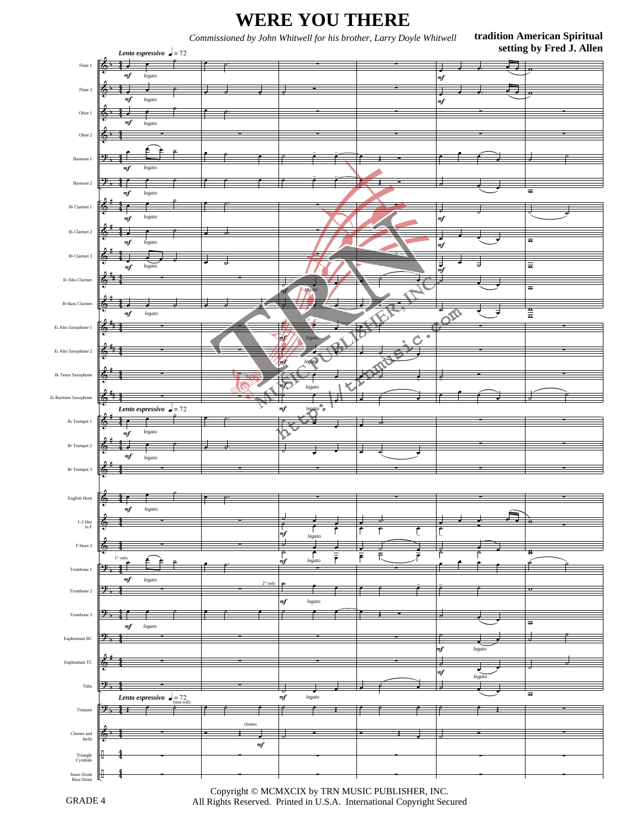

Copyright © MCMXCIX by TRN MUSIC PUBLISHER, INC. GRADE 4 All Rights Reserved. Printed in U.S.A. International Copyright Secured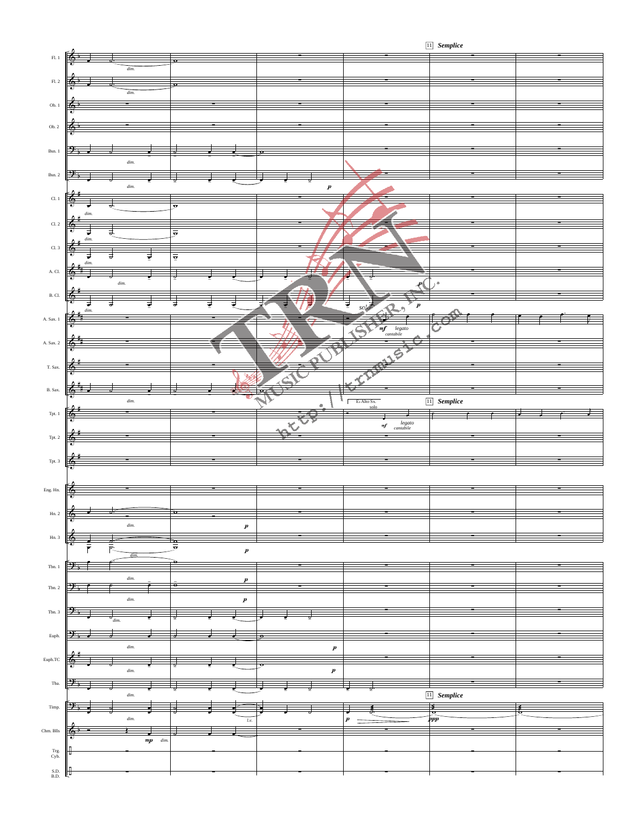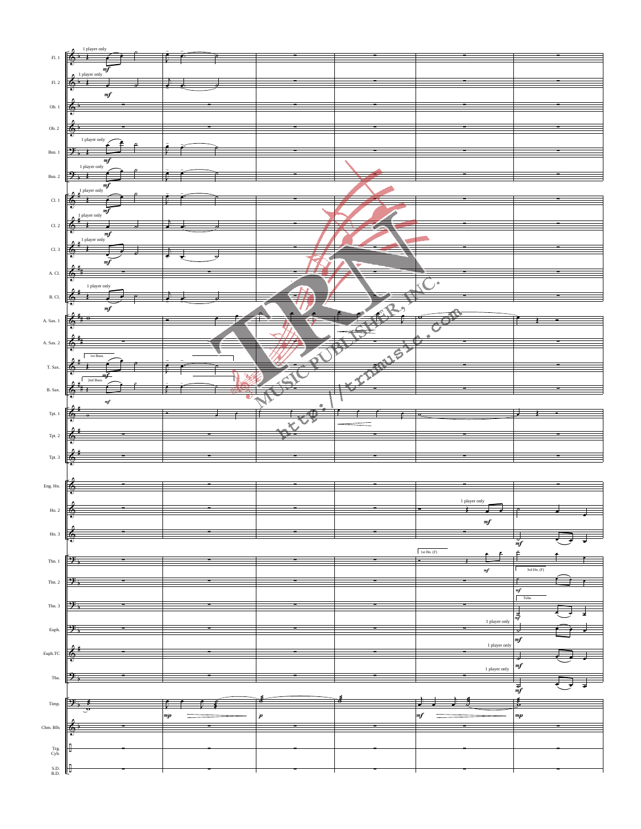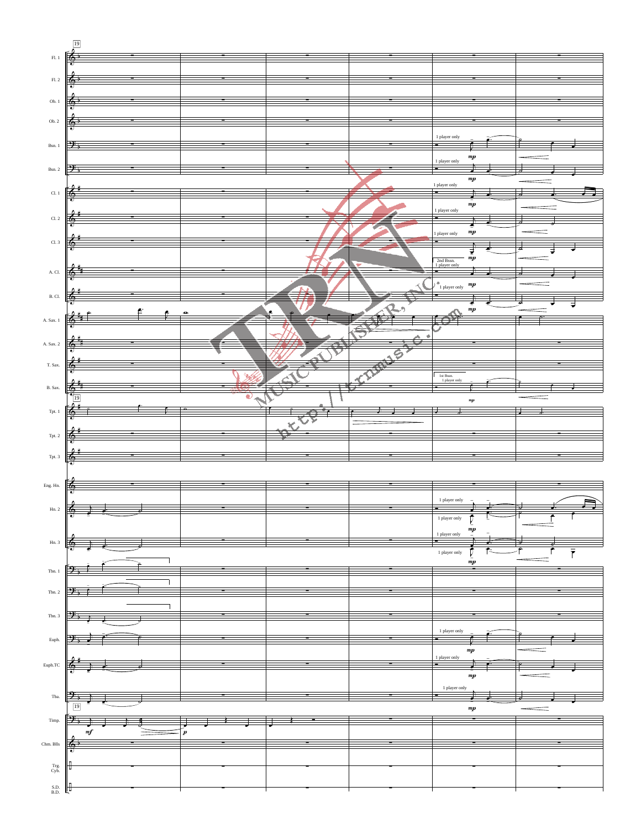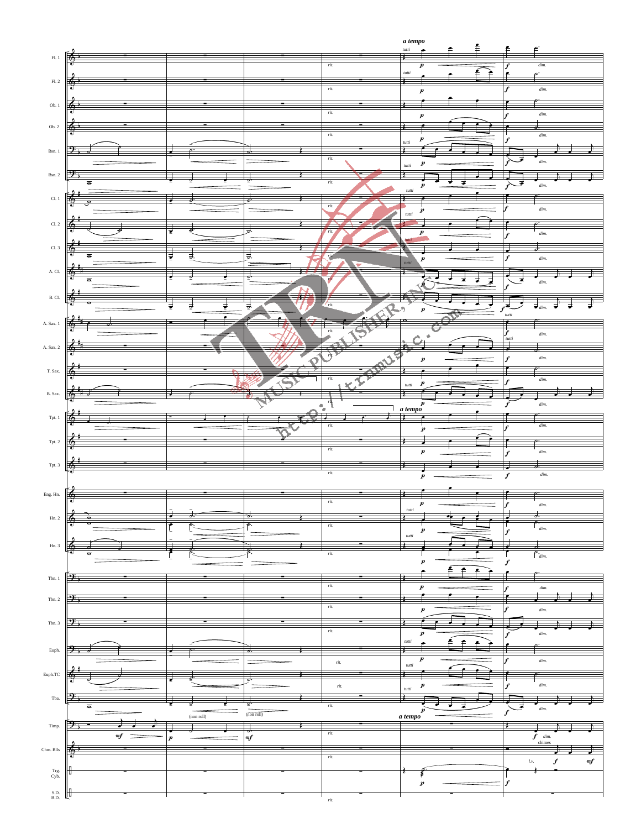|                                                                  |                           |                                       |                            | $\it{a\ tempo}$ |                            |                  |                                        |
|------------------------------------------------------------------|---------------------------|---------------------------------------|----------------------------|-----------------|----------------------------|------------------|----------------------------------------|
|                                                                  |                           |                                       |                            | tutti           |                            |                  |                                        |
| $\rm{Fl.}$ $1$                                                   |                           |                                       |                            | Ť               |                            |                  |                                        |
|                                                                  |                           |                                       |                            |                 |                            |                  |                                        |
|                                                                  |                           |                                       | rit.                       |                 | $\boldsymbol{p}$           |                  | dim.                                   |
|                                                                  |                           |                                       |                            | $\it tutti$     |                            | è                |                                        |
| F1.2                                                             | fo.                       |                                       |                            | t               |                            |                  |                                        |
|                                                                  |                           |                                       | rit.                       |                 |                            |                  | dim.                                   |
|                                                                  |                           |                                       |                            |                 | $\boldsymbol{p}$           |                  |                                        |
|                                                                  |                           |                                       |                            |                 |                            |                  |                                        |
| Ob. $1$                                                          |                           |                                       |                            |                 |                            |                  |                                        |
|                                                                  |                           |                                       | $\dot{rit.}$               |                 | $\boldsymbol{p}$           |                  | dim.                                   |
|                                                                  |                           |                                       |                            |                 |                            |                  |                                        |
| Ob. $2\,$                                                        | ⊕                         |                                       |                            |                 |                            |                  |                                        |
|                                                                  |                           |                                       | $\dot{rit.}$               |                 |                            |                  | dim                                    |
|                                                                  |                           |                                       |                            | tutti           |                            |                  |                                        |
| Bsn.1                                                            | 9.                        |                                       |                            |                 |                            |                  |                                        |
|                                                                  |                           |                                       |                            |                 |                            |                  |                                        |
|                                                                  |                           |                                       | $\dot{rit.}$               |                 |                            |                  | dim.                                   |
|                                                                  |                           |                                       |                            | tutti           |                            |                  |                                        |
| $_{\rm Bsn. \ 2}$                                                | $\mathbf{P}_{\mathbf{p}}$ |                                       |                            |                 |                            |                  |                                        |
|                                                                  |                           |                                       | $\dot{rit.}$               |                 |                            |                  |                                        |
|                                                                  |                           |                                       |                            | tutti           |                            |                  |                                        |
| Cl. 1                                                            |                           |                                       |                            |                 |                            |                  |                                        |
|                                                                  | $\spadesuit$              |                                       |                            |                 |                            |                  |                                        |
|                                                                  |                           |                                       | $\dot{rit.}$               |                 | $\boldsymbol{p}$           |                  | dim.                                   |
|                                                                  |                           |                                       |                            | tutti           |                            |                  |                                        |
| $\mathop{\rm Cl}\nolimits.2$                                     |                           |                                       |                            |                 |                            |                  |                                        |
|                                                                  | ⊕                         |                                       |                            |                 |                            |                  |                                        |
|                                                                  |                           |                                       |                            |                 | $\boldsymbol{p}$           |                  | dim.                                   |
|                                                                  |                           |                                       |                            |                 |                            |                  |                                        |
| $\mathop{\rm Cl}\nolimits.3$                                     | $\frac{1}{2}$             |                                       |                            |                 |                            |                  |                                        |
|                                                                  |                           | ₹<br>,                                |                            |                 |                            |                  | dim.                                   |
|                                                                  |                           |                                       |                            | tutti           | p                          |                  |                                        |
| $\mathbf{A}.\mathop{\rm Cl}\nolimits.$                           |                           |                                       |                            |                 |                            |                  |                                        |
|                                                                  | $\frac{1}{2}$             |                                       |                            |                 |                            | ⇉                |                                        |
|                                                                  | $\overline{\bullet}$      |                                       |                            |                 |                            |                  | dim.                                   |
|                                                                  |                           |                                       |                            |                 |                            |                  |                                        |
| $\, {\bf B} . \, {\bf Cl} . \,$                                  |                           |                                       | Ť                          |                 |                            |                  |                                        |
|                                                                  | ∳                         |                                       | rit.                       |                 |                            |                  |                                        |
|                                                                  |                           |                                       |                            |                 | $\boldsymbol{p}$           |                  |                                        |
|                                                                  |                           |                                       |                            |                 |                            | tutti            |                                        |
| A. Sax. $1$                                                      | 春                         |                                       |                            |                 |                            |                  |                                        |
|                                                                  |                           |                                       |                            |                 |                            |                  |                                        |
|                                                                  |                           |                                       |                            |                 |                            | tutti            | dim.                                   |
| A. Sax. $2\,$                                                    |                           |                                       |                            |                 |                            |                  |                                        |
|                                                                  |                           |                                       |                            |                 |                            |                  |                                        |
|                                                                  |                           |                                       |                            |                 | $\boldsymbol{p}$           | $\boldsymbol{f}$ | $\dim$                                 |
|                                                                  |                           |                                       |                            |                 |                            |                  |                                        |
| T. Sax.                                                          |                           |                                       |                            |                 |                            |                  |                                        |
|                                                                  |                           |                                       | $\dot{rit.}$               |                 |                            |                  | dim.                                   |
|                                                                  |                           |                                       |                            | tutti           |                            |                  |                                        |
| B. Sax.                                                          |                           |                                       |                            |                 |                            |                  |                                        |
|                                                                  |                           |                                       |                            |                 |                            |                  |                                        |
|                                                                  |                           |                                       | $\overline{\phantom{a}}_o$ | a tempo         | $\boldsymbol{p}$           |                  | dim.                                   |
|                                                                  |                           |                                       |                            |                 |                            |                  |                                        |
| $_{\rm Tpt. \ 1}$                                                |                           |                                       |                            |                 |                            |                  |                                        |
|                                                                  |                           |                                       | rit.                       |                 | $\boldsymbol{p}$           |                  | dim                                    |
|                                                                  |                           |                                       |                            |                 |                            |                  |                                        |
| $_{\rm Tpt. \ 2}$                                                |                           |                                       |                            |                 |                            |                  |                                        |
|                                                                  |                           |                                       | $\dot{rit.}$               |                 |                            |                  |                                        |
|                                                                  |                           |                                       |                            |                 |                            |                  |                                        |
|                                                                  |                           |                                       |                            |                 | $\boldsymbol{p}$           |                  | dim.                                   |
|                                                                  |                           |                                       |                            |                 |                            |                  |                                        |
| Tpt. 3                                                           | ∳                         |                                       |                            |                 |                            |                  |                                        |
|                                                                  |                           |                                       | $\dot{rit.}$               |                 | p                          | f                | dim.                                   |
|                                                                  |                           |                                       |                            |                 |                            |                  |                                        |
|                                                                  |                           |                                       |                            |                 |                            |                  |                                        |
|                                                                  | $\blacklozenge$           |                                       |                            |                 |                            |                  |                                        |
|                                                                  |                           |                                       | rit.                       |                 | $\boldsymbol{p}$           | $\boldsymbol{f}$ | dim.                                   |
|                                                                  |                           |                                       |                            | $\it tutti$     |                            |                  |                                        |
| Hn. $2$                                                          | ъ,                        | $\overline{\phantom{a}}$<br>o         |                            | t               |                            |                  |                                        |
|                                                                  |                           | $\overline{\mathsf{r}}$<br>ρ.         | $\dot{rit.}$               |                 |                            |                  |                                        |
|                                                                  |                           | $\overline{\mathbf{r}}$               |                            |                 | $\boldsymbol{p}$           |                  | dim.                                   |
|                                                                  |                           |                                       |                            | $\it tutti$     |                            |                  |                                        |
| Hn. $3\,$                                                        | $\bullet$                 |                                       |                            | ₹               |                            |                  |                                        |
|                                                                  | •)                        |                                       | rit.                       |                 |                            |                  |                                        |
|                                                                  |                           |                                       |                            |                 |                            |                  | $\mathcal{F}_{dim.}$                   |
|                                                                  |                           |                                       |                            |                 | $\boldsymbol{p}$<br>≝<br>Ê | $\boldsymbol{f}$ |                                        |
|                                                                  |                           |                                       |                            |                 |                            |                  |                                        |
| Tbn. $1$                                                         | 9,                        |                                       |                            |                 |                            |                  |                                        |
|                                                                  |                           |                                       | rit.                       |                 | $\pmb{p}$                  | $\boldsymbol{f}$ | $\dim$                                 |
|                                                                  |                           |                                       |                            | ∓               |                            | Ŧ                |                                        |
| Tbn. $2$                                                         | 9.                        |                                       |                            |                 |                            |                  |                                        |
|                                                                  |                           |                                       | $\overline{rit.}$          |                 | $\boldsymbol{p}$           | f                | $\dim$                                 |
|                                                                  |                           |                                       |                            |                 |                            |                  |                                        |
| Tbn. 3                                                           | <del>) ,</del>            |                                       |                            |                 |                            |                  |                                        |
|                                                                  |                           |                                       | $\dot{rit.}$               |                 |                            |                  |                                        |
|                                                                  |                           |                                       |                            |                 | $\boldsymbol{p}$           | $\pmb{f}$        | $\dim$                                 |
|                                                                  |                           |                                       |                            | $\it tutti$     |                            |                  |                                        |
| Euph.                                                            | →                         | <u>. .</u>                            |                            |                 |                            |                  |                                        |
|                                                                  |                           |                                       |                            |                 | $\pmb{p}$                  | $\boldsymbol{f}$ | $\dim$                                 |
|                                                                  |                           |                                       | $\dot{rit.}$               | $\it tutti$     |                            |                  |                                        |
|                                                                  |                           |                                       |                            |                 |                            |                  |                                        |
|                                                                  |                           |                                       |                            |                 |                            |                  |                                        |
|                                                                  |                           |                                       | $\dot{rit}$                |                 | $\pmb{p}$                  | $\boldsymbol{f}$ | $\dim$                                 |
|                                                                  |                           |                                       |                            | $\it tutti$     |                            |                  |                                        |
| Tba.                                                             | ₿,                        |                                       |                            |                 |                            |                  |                                        |
|                                                                  | $\overline{\bullet}$      |                                       | $\dot{rit.}$               |                 |                            |                  | dim.                                   |
|                                                                  |                           | $\overline{(\overline{non} \; roll)}$ |                            |                 | $\boldsymbol{p}$           |                  |                                        |
|                                                                  |                           |                                       |                            | a tempo         |                            |                  |                                        |
| Timp.                                                            | 9.                        |                                       |                            |                 |                            | ₹                |                                        |
|                                                                  | $\it mf$<br>Ξ             |                                       | $\overline{\it{rit.}}$     |                 |                            |                  |                                        |
|                                                                  |                           | र्नु<br> mf<br>$\boldsymbol{p}$       |                            |                 |                            |                  | $\tilde{f}_{\text{chimes}}$            |
|                                                                  | ⊕                         |                                       |                            |                 |                            |                  |                                        |
|                                                                  | J                         |                                       | $\frac{1}{\text{rit.}}$    |                 |                            |                  |                                        |
| ${\rm Eng.}$ Hn.<br>$\ensuremath{\mathsf{Euph.TC}}$<br>Chm. Blls |                           |                                       |                            |                 |                            |                  | $\it mf$<br>$l.v.$<br>$\boldsymbol{f}$ |
|                                                                  | ╖                         |                                       |                            |                 |                            |                  |                                        |
| $\mathop{\mathrm{Trg}}\nolimits.$ Cyb.                           |                           |                                       |                            |                 | Ŧ                          |                  |                                        |
|                                                                  |                           |                                       |                            |                 | $\boldsymbol{p}$           | $\bm{f}$         |                                        |
| $S.D.$ B.D.                                                      | ℍ                         |                                       | $\dot{rit.}$               |                 |                            |                  |                                        |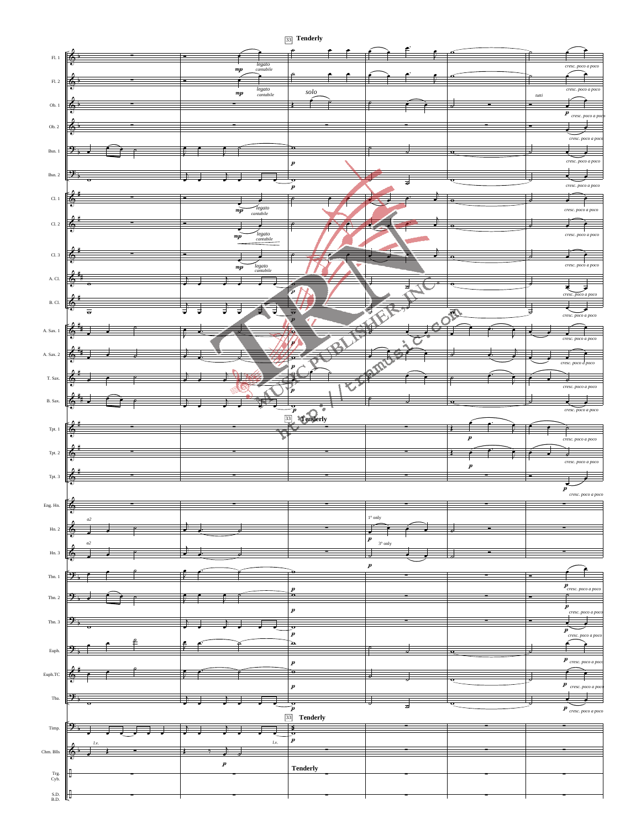**Tenderly**  33 . œ ˙ œ œ œ Jœ œ œ œ w¨ w ˙ œ œ Fl. 1 bbbbbb#### ∑∑∑∑ Ó &&&&??&&&&&&&&&&&&&&&????&??&÷÷ *legato cresc. poco a poco* PPPPP  $m$  $p$ *cantabile* . ˙ œ œ œ œ œ Jœ œ œ ˙ œ œ Í. Fl. 2 *legato cantabile solo cresc. poco a poco*  $\mathfrak{m}p$ *tutti* œ œ è ˙ œ Ob. 1 ∑∑ Œ œ i<br>İ <u>i</u> œ pppppppp*cresc. poco a poco* Ob. 2 ∑ ∑ ∑ <u>i</u> œ œ *cresc. poco a poco* œ œ Jœ œ Jœ ˙  $\frac{\mathbf{e}}{p}$  =  $\frac{\mathbf{e}}{p}$  =  $\frac{\mathbf{e}}{p}$ ˙ **È** e Bsn. 1 ˙ www.communication.communication.com/ ˙ œ œ  $\boldsymbol{p}$ *cresc. poco a poco* ppppppppppppppp  $\overline{\phantom{0}}$  $j$  ,  $j$ œ Bsn. 2 œ w œ œ ˙ ˙ ˙ *cresc. poco a poco*  $\overline{ }$ . Cl. 1 ∑∑∑ i<br>İ  $\overline{\phantom{a}}$ œ œ œ 长 œ *legato cantabile* œ œ ˙ œ œ œ *cresc. poco a poco* jœ . Cl. 2 Ó ˙ œ œ œ œ œ œ œ ˙ œ œ *legato* mz *cresc. poco a poco cantabile*  $\overline{ }$ . Cl. 3 i<br>İ ˙ œ œ œ œ  $\frac{1}{\sqrt{np}}$ œ œ ˙ œ œ *cresc. poco a poco legato cantabile* # A. Cl.  $\overline{\phantom{0}}$  $\equiv$ webles and the material property of the control of the control of the control of the control of the control of the control of the control of the control of the control of the control of the control of the control of the c œ œ wwwwœ ˙ ˙ ˙ œ œ  $\boxed{p}$ ## *cresc. poco a poco* B. Cl. jœ  $\overline{\mathbf{r}}$ ˙ œ œ œ œ œ œ ˙ Ø ˙  $\rm \c{C}$ *cresc. poco a poco* ˙ œ œ œ Jœ œ . J A. Sax. 1  $\frac{1}{6}$ œ œ . ˙ œ œ ˙ œ œ þ. *cresc. poco a poco* # jœ jœ œ # œ œ œ ˙ œ œ A. Sax. 2 н. ˙ œ . œ œ œ . ˙ œ œ  $\boldsymbol{p}$ *cresc. poco a poco* ## œ ˙ jœ  $\frac{1}{\epsilon}$ ˙ . œ œ ˙ è Jœ T. Sax. ˙ œ œ œ œ œ ˙ ˙  $\frac{p}{p}$ V *cresc. poco a poco* œ ˙ # è ˙  $\overline{\phantom{0}}$  $j\rightarrow \infty$ B. Sax. œ ˙wŒ ˙ œ œ œ œ w *cresc. poco a poco* **Tenderly**  33 œ . ###bbbb#bbb œ Jœ œ œ Tpt. 1 ∑∑∑∑ ∑∑∑∑ ∑∑∑∑∑∑ ∑∑∑∑ ˙ ΕĞ  $\boldsymbol{p}$  $\frac{p}{f}$ *cresc. poco a poco* . œ Jœ Œ œ œ Tpt. 2 œ ˙ *cresc. poco a poco*  $\boldsymbol{p}$ œ ∑∑ **F** Tpt. 3 œ  $c$ resc. poco a po Eng. Hn. ∑∑∑ ѩ 1° only *a2* jœ ˙ è œ Í. Hn. 2 K . œ œ œ ˙ ˙ œ œ  $\begin{array}{c} p \ \equiv \ \bar{p} \end{array}$ *a2* 3° only jœ ˙ i<br>İ Hn. 3 œ œ . ˙ œ ℻ ˙ œ œ ˙ è ˙ Jœ œ œ . ˙ www.www.www.www.www.com/stone/helion/2011/2020/2020 œ œ Tbn. 1 ∑∑∑ ∑∑∑ <u>i</u> *cresc. poco a poco* œ Jœ œ đ ˙ ˙ è ˙ Ó Tbn. 2 œ  $\boldsymbol{p}$ *cresc. poco a poco* Tbn. 3 jœ  $j$ , i<br>İ œ œ wœ œ œ  $\boldsymbol{p}$  $\bar{p}$ *cresc. poco a poco* ˙ Jœ . œ œ ˙ œ œ ˙ Euph. ˙ www.com ˙  $\overline{p}_{\text{cres}}$  $\boldsymbol{p}$ ˙ Jœ . œ œ ˙ è Euph.TC œ 76 ˙ œ ˙ ˙  $\boldsymbol{p}$  $\boldsymbol{p}$ *cresc. poco a poco* Tba. ₿. jœ  $j$  ,  $j$ œ œ ˙w œ œ ˙ ˙  $\frac{\partial}{\partial p}$  $\overline{p}$ <sub>cresc. poco a poc</sub> **Tenderly**  33  $\overline{\phantom{0}}$  $j$  ,  $j$ ∑∑∑∑ ∑∑∑∑ ∑∑∑∑ Timp. œ œ œ œ œ œ œ œ  $\boldsymbol{p}$ *l.v. l.v.*  $\overline{\phantom{a}}$ Œ ‰ ∑∑∑ Chm. Blls jœ ˙ p **Tenderly**  ∑∑ ∑∑

Trg. Cyb. S.D. B.D.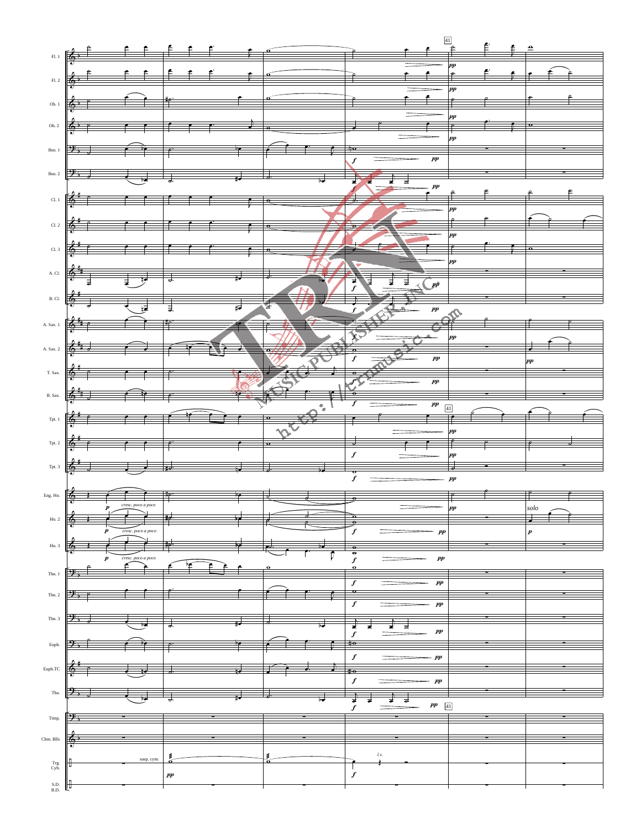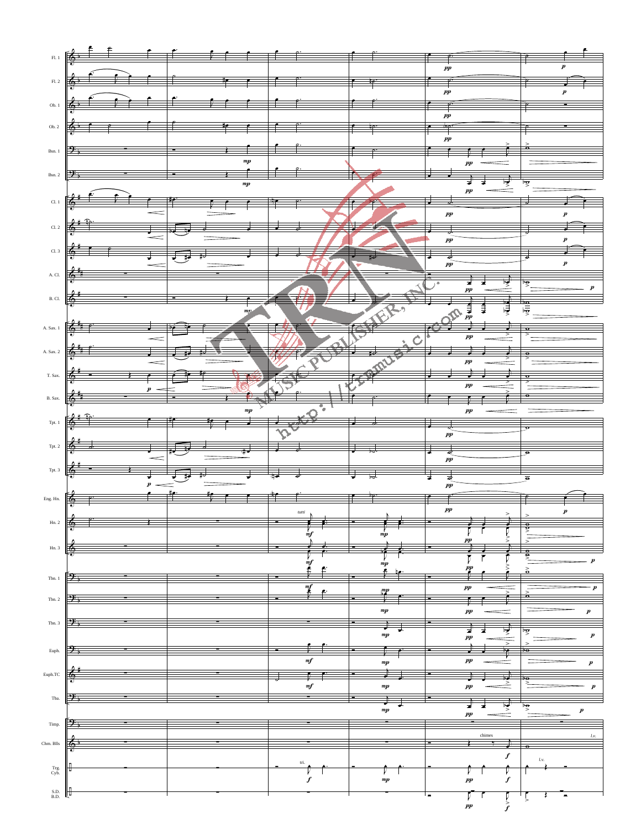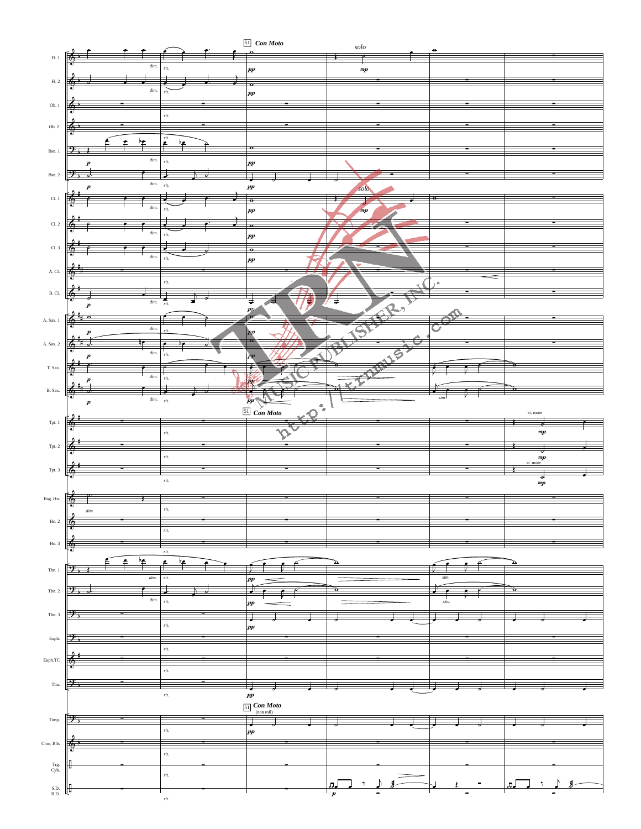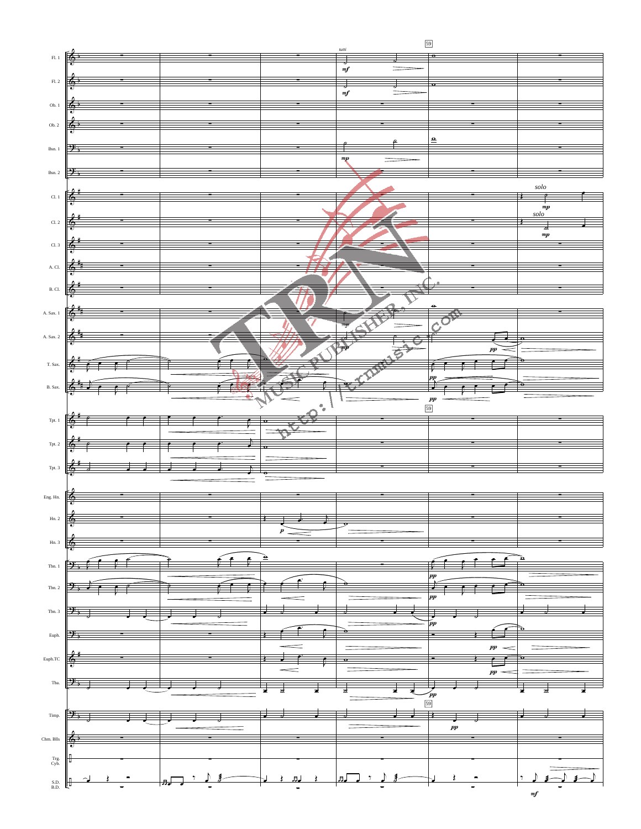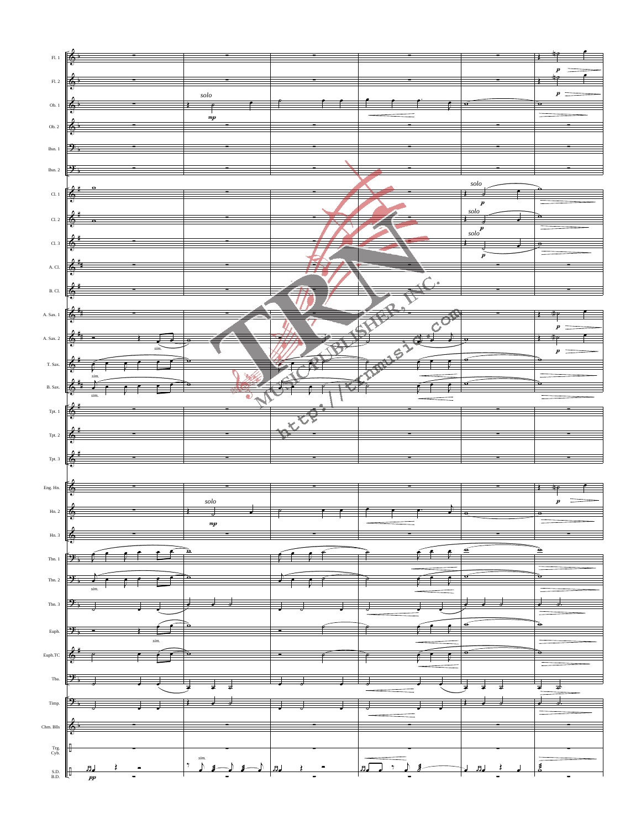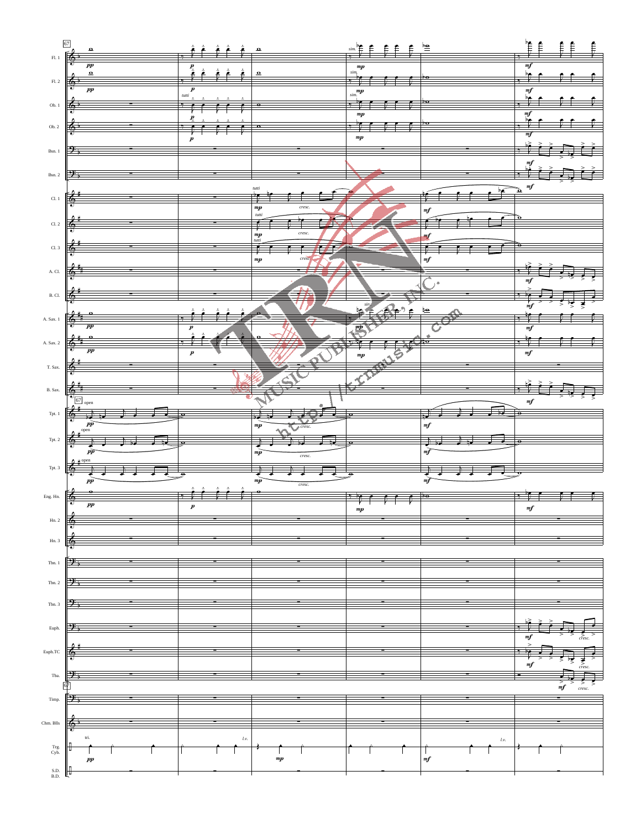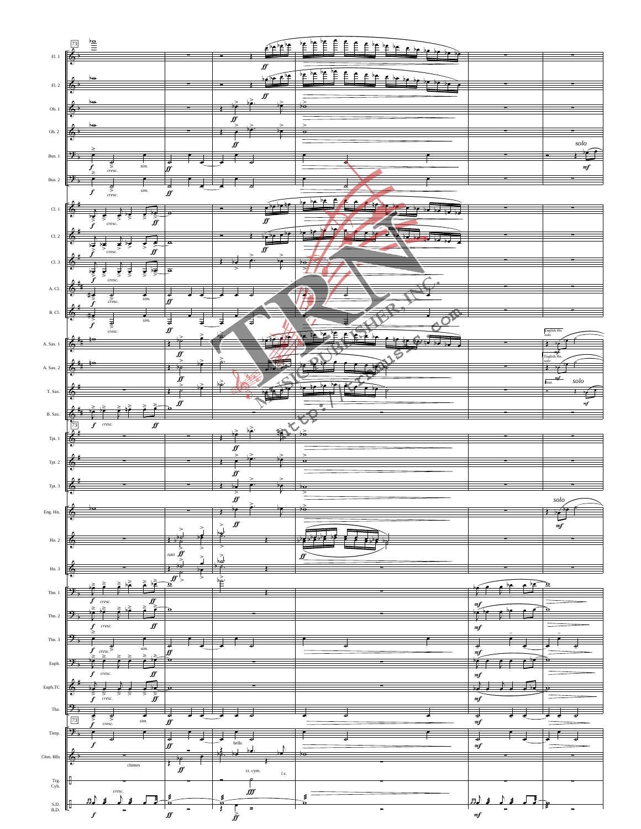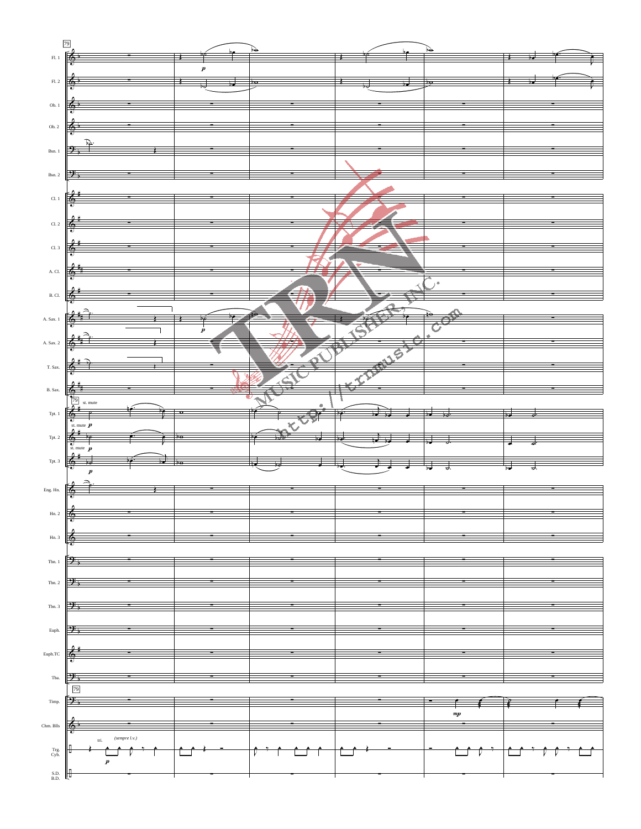![](_page_13_Figure_0.jpeg)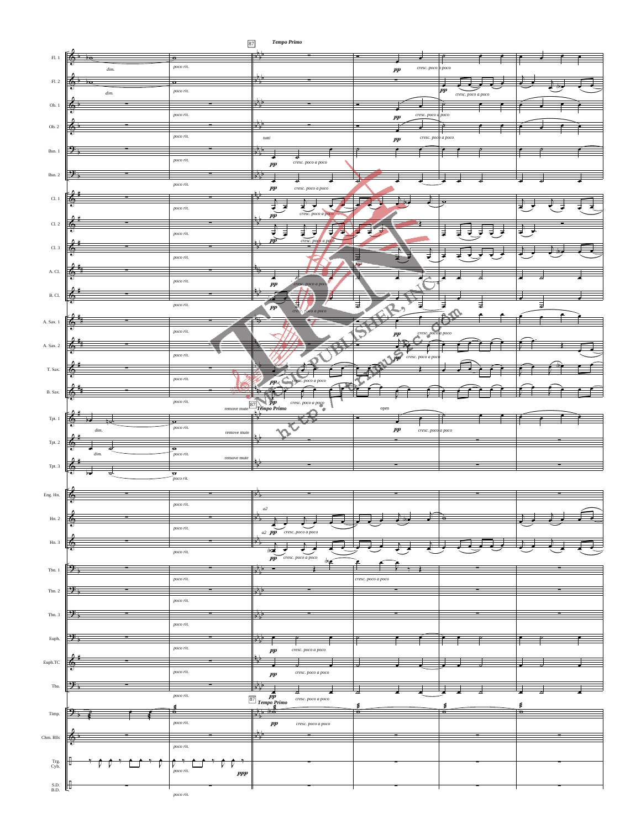87 *Tempo Primo*

|                                                                 |                                    | تت                      | $\mathbb{P}^{\flat}$                                           |                                              |                    |                               |
|-----------------------------------------------------------------|------------------------------------|-------------------------|----------------------------------------------------------------|----------------------------------------------|--------------------|-------------------------------|
| $\rm{Fl.}$ $1$                                                  | ౹ౚ<br>₱<br>$\overline{\mathbf{b}}$ | $\mathbf{\sigma}$       |                                                                |                                              |                    |                               |
|                                                                 | $\dim.$                            | poco rit.               |                                                                | cresc. poco a poco<br>$\boldsymbol{pp}$      |                    |                               |
| $\rm{Fl.}$ $2$                                                  | 6<br>$\rightarrow \infty$          | $\mathbf{o}$            | ₩                                                              |                                              | ⇉                  |                               |
|                                                                 |                                    | poco rit.               |                                                                |                                              | $\boldsymbol{pp}$  |                               |
|                                                                 | $\dim.$                            |                         |                                                                |                                              | cresc. poco a poco |                               |
| Ob. $1\,$                                                       | ťm                                 |                         | 聓                                                              |                                              | ₽                  |                               |
|                                                                 |                                    | poco rit.               |                                                                | cresc. poco a poco<br>$\boldsymbol{pp}$      |                    |                               |
| Ob. $2\,$                                                       | 6                                  |                         | $\overline{\mathfrak{p}}^{\mathfrak{p}}$                       |                                              |                    |                               |
|                                                                 |                                    | poco rit.               |                                                                | cresc. poco a poco                           |                    |                               |
|                                                                 |                                    |                         | tutti                                                          | $\boldsymbol{pp}$                            |                    |                               |
| Bsn. 1                                                          | בנ                                 |                         | $\frac{1}{2}$                                                  |                                              |                    |                               |
|                                                                 |                                    | poco rit.               | ಕ<br>cresc. poco a poco<br>$\boldsymbol{pp}$                   |                                              |                    |                               |
|                                                                 | ナ                                  |                         |                                                                |                                              |                    |                               |
| Bsn. 2                                                          |                                    |                         | $\overrightarrow{b}$<br>⋥<br>đ                                 |                                              |                    |                               |
|                                                                 |                                    | poco rit.               | $p\hspace{-.08cm}p\hspace{-.09cm}\bar{}$<br>cresc. poco a poco |                                              |                    |                               |
| CL1                                                             | te.                                |                         | ۳                                                              |                                              |                    |                               |
|                                                                 |                                    | poco rit.               | ₹₹                                                             |                                              |                    | ≢<br>₹                        |
|                                                                 |                                    |                         | cresc. poco a poco<br>pp                                       |                                              |                    |                               |
| $\mathop{\rm Cl}\nolimits.2$                                    |                                    |                         |                                                                |                                              |                    |                               |
|                                                                 |                                    | poco rit.               | 芀<br>₹<br>₹<br>÷.                                              |                                              | ₹                  | ⋣                             |
|                                                                 |                                    |                         | cresc. poco a poco<br>pp                                       |                                              |                    |                               |
| $\mathop{\rm Cl}\nolimits.3$                                    |                                    |                         |                                                                |                                              |                    |                               |
|                                                                 |                                    | poco rit.               |                                                                | $\frac{1}{2}$<br>pp                          |                    |                               |
| $\mathbf{A}.\mathop{\rm Cl}\nolimits.$                          |                                    |                         |                                                                |                                              |                    |                               |
|                                                                 |                                    | poco rit.               | oco a po                                                       |                                              |                    |                               |
|                                                                 |                                    |                         | pp                                                             |                                              |                    |                               |
| $\,$ B. Cl.                                                     | ⊕                                  |                         |                                                                |                                              |                    |                               |
|                                                                 |                                    | poco rit.               | pp<br>oco a poco<br>cre.                                       | 긓                                            | z                  |                               |
|                                                                 |                                    |                         |                                                                |                                              |                    |                               |
| A. Sax. 1                                                       | T.                                 |                         |                                                                |                                              |                    |                               |
|                                                                 |                                    | poco rit.               |                                                                | $\boldsymbol{pp}$<br>cresc, poi              | poco               |                               |
| A. Sax. 2                                                       | 6                                  |                         |                                                                |                                              |                    |                               |
|                                                                 |                                    | poco rit.               |                                                                | с<br>$\widehat{pp}$<br>٨<br>cresc. poco a po |                    |                               |
|                                                                 |                                    |                         |                                                                |                                              |                    |                               |
| T. Sax.                                                         | ⊕                                  |                         |                                                                |                                              |                    |                               |
|                                                                 |                                    | poco rit.               | resc. poco a poco<br>pp                                        |                                              |                    |                               |
| B. Sax.                                                         | ⊙                                  |                         |                                                                |                                              |                    |                               |
|                                                                 | $\bullet$                          | poco rit.               | $\emph{cresc.}$ poco a poco                                    |                                              |                    |                               |
|                                                                 |                                    | remove mute             | $\begin{array}{c}\n 87 \\ \hline\n 22\n \end{array}$<br>٠      | open                                         |                    |                               |
|                                                                 | to,                                |                         |                                                                |                                              |                    |                               |
| $_\mathrm{Tpt.~1}$                                              |                                    | $\bullet$               |                                                                |                                              |                    |                               |
|                                                                 | dim.                               | poco rit.               |                                                                |                                              |                    |                               |
|                                                                 |                                    | remove mute             |                                                                | pp<br>cresc. poco a poco                     |                    |                               |
| $_{\rm Tpt. \ 2}$                                               | ⊕                                  | $\overline{\bullet}$    |                                                                |                                              |                    |                               |
|                                                                 | dim.                               | poco rit.               |                                                                |                                              |                    |                               |
|                                                                 |                                    | remove mute             |                                                                |                                              |                    |                               |
| $_\mathrm{Tpt.}$ 3                                              |                                    | $\overline{\mathbf{v}}$ |                                                                |                                              |                    |                               |
|                                                                 |                                    | poco rit.               |                                                                |                                              |                    |                               |
|                                                                 |                                    |                         | ⊧',                                                            |                                              |                    |                               |
| ${\rm Eng.}$ Hn.                                                | 6<br>٠                             | poco rit.               |                                                                |                                              |                    |                               |
|                                                                 |                                    |                         | a2                                                             |                                              |                    | ╼                             |
| Hn. 2                                                           |                                    |                         |                                                                | $\omega$                                     | ۰                  | $\cdot$ $\cdot$               |
|                                                                 | 博                                  | poco rit.               | $a2$ $pp$ cresc. poco a poco                                   |                                              |                    |                               |
|                                                                 |                                    |                         |                                                                |                                              |                    |                               |
| Hn. $3\,$                                                       | ๒<br>٠.                            | poco rit.               | $(b) =$                                                        |                                              |                    |                               |
|                                                                 |                                    |                         | $pp$ cresc. poco a poco<br>$(b)$ e                             |                                              |                    |                               |
| Tbn. $1$                                                        | ₽.                                 |                         | $\mathbb{R}^{\flat}$                                           |                                              |                    |                               |
|                                                                 |                                    | poco rit.               |                                                                | cresc. poco a poco                           |                    |                               |
| Tbn. 2                                                          | $9 -$                              |                         |                                                                |                                              |                    |                               |
|                                                                 |                                    | poco rit.               | ₩                                                              |                                              |                    |                               |
|                                                                 |                                    |                         |                                                                |                                              |                    |                               |
| Tbn. 3                                                          | 97                                 |                         | $\frac{1}{2}$                                                  |                                              |                    |                               |
|                                                                 |                                    | poco rit.               |                                                                |                                              |                    |                               |
|                                                                 | 27                                 |                         |                                                                |                                              |                    |                               |
| Euph.                                                           |                                    |                         | $\frac{1}{2}$                                                  |                                              |                    |                               |
|                                                                 |                                    | poco rit.               | cresc. poco a poco<br>$\boldsymbol{pp}$                        |                                              |                    |                               |
| $\ensuremath{\text{Euph}}\xspace.\ensuremath{\text{TC}}\xspace$ | 6                                  |                         | ₽                                                              |                                              |                    |                               |
|                                                                 |                                    | poco rit.               | cresc. poco a poco<br>$\boldsymbol{pp}$                        |                                              |                    |                               |
|                                                                 |                                    |                         |                                                                |                                              |                    |                               |
| Tba.                                                            | Đ.,                                |                         | $\overrightarrow{p}$                                           |                                              |                    |                               |
|                                                                 |                                    | poco rit.               | cresc. poco a poco                                             |                                              |                    |                               |
|                                                                 | 9                                  | ó                       | $\frac{pp}{2}$ Tempo Primo                                     | $\Omega$                                     | $\Omega$           | ۶<br>$\overline{\phantom{0}}$ |
| Timp.                                                           |                                    | poco rit.               | ⊪ယျနစ်                                                         |                                              |                    |                               |
|                                                                 |                                    |                         | $\boldsymbol{pp}$<br>cresc. poco a poco                        |                                              |                    |                               |
|                                                                 | ⊕                                  |                         | $\frac{1}{2}$                                                  |                                              |                    |                               |
|                                                                 | $\bullet$                          | poco rit.               |                                                                |                                              |                    |                               |
|                                                                 |                                    |                         |                                                                |                                              |                    |                               |
| ${\rm Chm.}$ Blls<br>$\mathop{\mathrm{Trg}}\nolimits.$ Cyb.     | ⊔<br>V<br>V                        | 7                       |                                                                |                                              |                    |                               |
|                                                                 |                                    | poco rit.<br>$ppp\,$    |                                                                |                                              |                    |                               |
| $_{\rm B.D.}^{\rm S.D.}$                                        | Ľ                                  |                         |                                                                |                                              |                    |                               |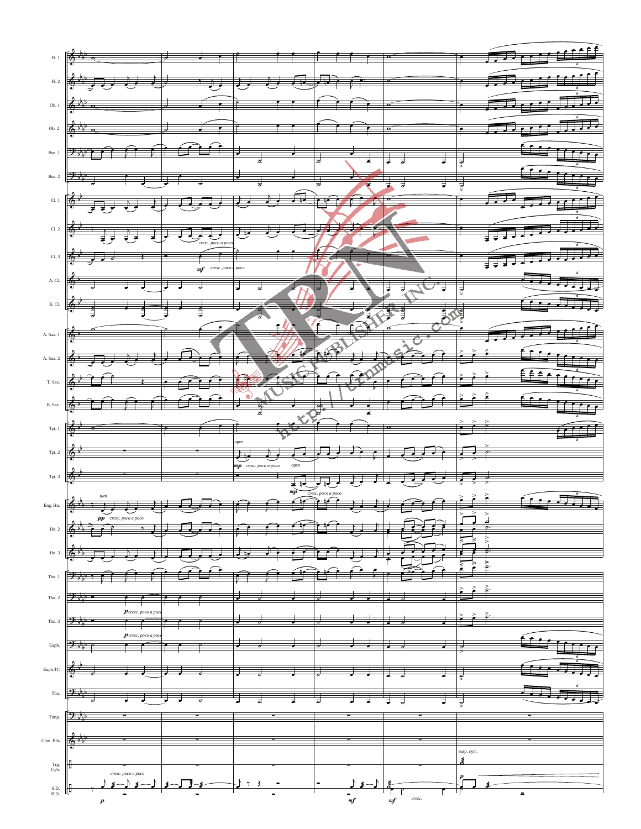![](_page_15_Figure_0.jpeg)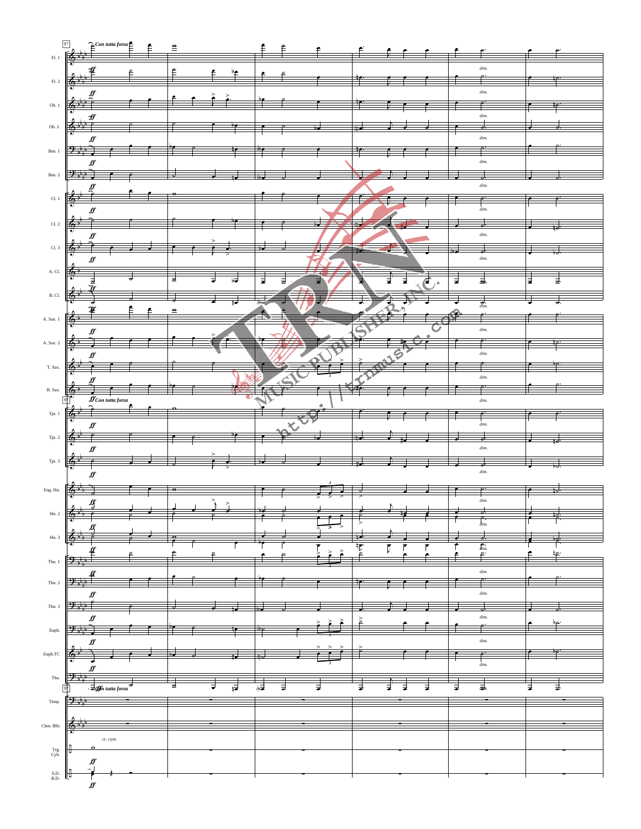![](_page_16_Figure_0.jpeg)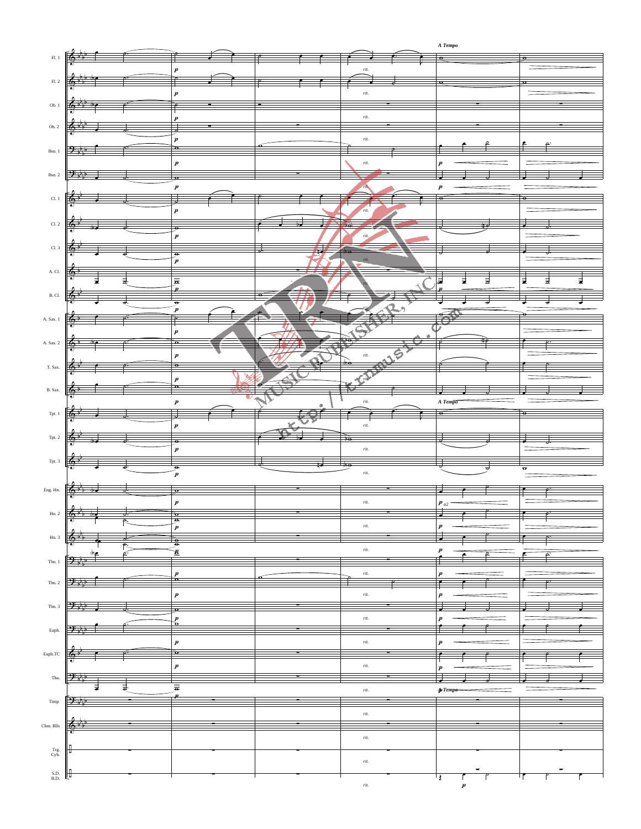|                                        |                                            |                                             |                      |                               | A Tempo                              |
|----------------------------------------|--------------------------------------------|---------------------------------------------|----------------------|-------------------------------|--------------------------------------|
| $\mathbf{Fl.}$ 1                       | ⊕                                          |                                             |                      |                               | $\bullet$<br>$\mathbf{o}$            |
|                                        |                                            | $\boldsymbol{p}$                            |                      | rit.                          |                                      |
|                                        |                                            |                                             |                      |                               |                                      |
| $\mathbb{F} \mathbf{l}.$ 2             | €                                          |                                             |                      |                               | $\overline{\mathbf{o}}$<br>$\bullet$ |
|                                        |                                            | $\boldsymbol{p}$                            |                      | $\dot{rit.}$                  |                                      |
| Ob. $1$                                | (n                                         |                                             |                      |                               |                                      |
|                                        |                                            | $\boldsymbol{p}$                            |                      | $\dot{rit.}$                  |                                      |
| Ob. $2\,$                              | ⊙                                          |                                             |                      |                               |                                      |
|                                        |                                            | $\boldsymbol{p}$                            |                      | $\dot{rit.}$                  |                                      |
|                                        |                                            | $\overline{\bullet}$                        |                      |                               |                                      |
| $_{\rm Bsn.$ $1}$                      | うふ                                         |                                             |                      |                               |                                      |
|                                        |                                            | $\pmb{p}$                                   |                      | $\dot{rit.}$                  | $\boldsymbol{p}$                     |
| $_{\rm Bsn. \ 2}$                      | $\mathcal{P}_{\mathfrak{p}'_{\mathbf{L}}}$ | $\overline{\mathbf{a}}$                     |                      |                               |                                      |
|                                        |                                            | $\pmb{p}$                                   |                      |                               | $\boldsymbol{p}$                     |
| $\mathop{\rm Cl}\nolimits.$ 1          |                                            |                                             |                      |                               | $\overline{\bullet}$<br>ਰ            |
|                                        | ∲                                          |                                             |                      |                               |                                      |
|                                        |                                            | $\boldsymbol{p}$                            |                      | rit.                          |                                      |
| $\mathop{\rm Cl}\nolimits.2$           | ∲                                          |                                             |                      | $\overrightarrow{p_0}$        |                                      |
|                                        |                                            | $\boldsymbol{p}$                            |                      | rit.                          |                                      |
| Cl.3                                   | ⊺∕क                                        |                                             |                      |                               |                                      |
|                                        |                                            | $\overline{\bullet}$                        | ۰.                   |                               |                                      |
|                                        |                                            | $\boldsymbol{p}$                            |                      |                               |                                      |
| $\mathbf{A}.\mathop{\rm Cl}\nolimits.$ | ⊕                                          |                                             |                      |                               |                                      |
|                                        |                                            | $\frac{1}{\overline{\mathbf{e}}}$           |                      |                               | ⋾<br>⋣<br>⋣<br>₹<br>₹<br>₹           |
| $\,$ B. Cl.                            | ⊚                                          | $\boldsymbol{p}$                            | $\overline{\bullet}$ |                               |                                      |
|                                        |                                            | $\overline{\sigma}$                         |                      |                               | z                                    |
|                                        |                                            | $\boldsymbol{p}$<br>⋗                       |                      |                               |                                      |
| A. Sax. $1$                            | $\mathbf{\hat{e}}$                         |                                             |                      |                               |                                      |
|                                        |                                            | $\boldsymbol{p}$                            |                      |                               |                                      |
| A. Sax. $2\,$                          | ⊕                                          | $\overline{\bullet}$                        |                      |                               |                                      |
|                                        | $\bullet$                                  | $\pmb{p}$                                   |                      | <b>FR12</b> 5<br>$\dot{rit.}$ |                                      |
| T. Sax.                                | 而                                          | $\overline{\mathbf{c}}$                     |                      | $\mathbf{\omega}$             |                                      |
|                                        |                                            |                                             |                      |                               |                                      |
|                                        |                                            | $\boldsymbol{p}$<br>$\overline{\mathbf{e}}$ |                      | ¥.                            |                                      |
| B. Sax.                                | ⊛                                          |                                             |                      |                               |                                      |
|                                        |                                            | $\pmb{p}$                                   | ٠                    | $\dot{rit.}$                  | $A$ Tempo                            |
| Tpt. $1$                               | τφ,                                        |                                             |                      |                               | ø<br>ē                               |
|                                        |                                            | $\boldsymbol{p}$                            | ×                    | $\dot{rit.}$                  |                                      |
| $_{\rm Tpt. \ 2}$                      |                                            |                                             |                      |                               |                                      |
|                                        | ⊕                                          |                                             |                      | ₽ø                            |                                      |
|                                        |                                            | $\pmb{p}$                                   |                      | $\dot{rit.}$                  |                                      |
| $_\mathrm{Tpt.}$ 3                     | Ѩ                                          | ٠                                           | ⇟                    |                               | $\sigma$                             |
|                                        |                                            | $\boldsymbol{p}$                            |                      | $\dot{rit.}$                  |                                      |
|                                        | $6 - 1$                                    |                                             |                      |                               |                                      |
| ${\rm Eng.}$ Hn.                       |                                            | $\bullet$                                   |                      |                               |                                      |
|                                        |                                            | $\boldsymbol{p}$                            |                      | $\dot{rit.}$                  | $\boldsymbol{p}$<br>az               |
| Hn. $2\,$                              | 6                                          |                                             |                      |                               |                                      |
|                                        |                                            | $\frac{1}{\sqrt{\frac{1}{p}}}$              |                      | $\dot{m}$                     | $\pmb{p}$                            |
| Hn. $\bar{3}$                          |                                            |                                             |                      |                               |                                      |
|                                        |                                            | $\frac{1}{6}$                               |                      | $\dot{m}$                     |                                      |
|                                        |                                            | $\boldsymbol{B}$                            |                      |                               | $\pmb{p}$<br>o<br>P.<br>÷            |
| Tbn. $1$                               |                                            |                                             |                      |                               |                                      |
|                                        |                                            | $\frac{p}{\bullet}$                         |                      | $\dot{r}$                     | p                                    |
| Tbn. $2$                               |                                            |                                             |                      |                               |                                      |
|                                        |                                            | $\pmb{p}$                                   |                      | $\dot{r}$                     | p                                    |
| Tbn. $3$                               | $\mathcal{P}_{\mathbb{P}^{\ast}}$          | $\mathbf{\Omega}$                           |                      |                               |                                      |
|                                        |                                            |                                             |                      | $\dot{m}$                     | $\boldsymbol{p}$                     |
| ${\hbox{\rm Euph}}.$                   | うしゅ                                        | $\frac{p}{\alpha}$                          |                      |                               |                                      |
|                                        |                                            |                                             |                      |                               |                                      |
|                                        |                                            | $\boldsymbol{p}$                            |                      | $\dot{m}$                     | p                                    |
| $\ensuremath{\mathsf{Euph.TC}}$        | 壹                                          | $\bullet$                                   |                      |                               |                                      |
|                                        |                                            | $\pmb{p}$                                   |                      | $\dot{rit.}$                  | p                                    |
| $\label{eq:1}$ Tba.                    | $\mathcal{F}_{\mathfrak{p}_{\mathcal{F}}}$ |                                             |                      |                               |                                      |
|                                        | ţ                                          |                                             |                      | $\dot{rit.}$                  | $p$ Tempo                            |
|                                        | $2 +$                                      | $\boldsymbol{p}$                            |                      |                               |                                      |
| Timp.                                  |                                            |                                             |                      |                               |                                      |
|                                        |                                            |                                             |                      | $\dot{m}$                     |                                      |
| $Chm.$ Blls                            | 廥                                          |                                             |                      |                               |                                      |
|                                        |                                            |                                             |                      | $\dot{rit.}$                  |                                      |
|                                        |                                            |                                             |                      |                               |                                      |
| $_{\rm Cyb.}^{\rm Trg.}$               | υ                                          |                                             |                      |                               |                                      |
|                                        |                                            |                                             |                      | $\dot{rit.}$                  |                                      |
| $S.D.$ B.D.                            | ℍ                                          |                                             |                      |                               | ार्<br>ן ו                           |
|                                        |                                            |                                             |                      | $\dot{rit.}$                  | $\boldsymbol{p}$                     |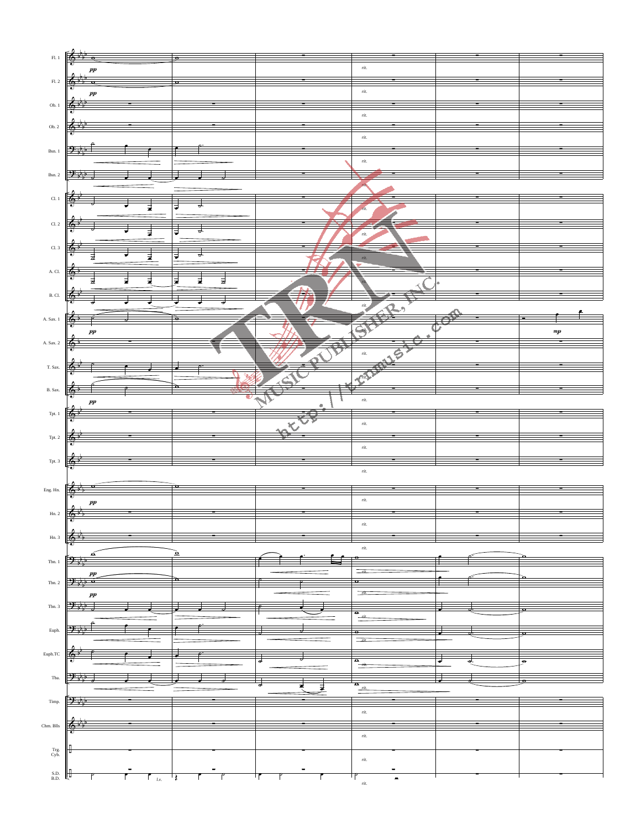![](_page_18_Figure_0.jpeg)